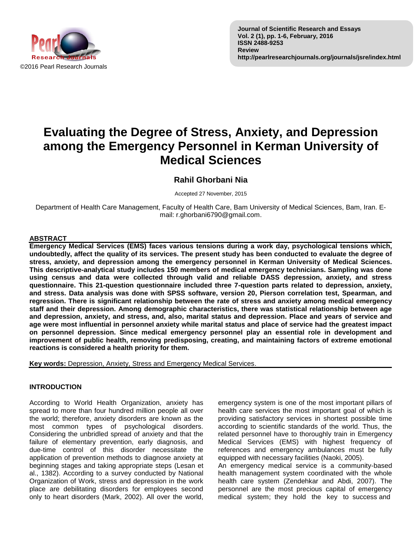

# **Evaluating the Degree of Stress, Anxiety, and Depression among the Emergency Personnel in Kerman University of Medical Sciences**

## **Rahil Ghorbani Nia**

Accepted 27 November, 2015

Department of Health Care Management, Faculty of Health Care, Bam University of Medical Sciences, Bam, Iran. Email: r.ghorbani6790@gmail.com.

#### **ABSTRACT**

**Emergency Medical Services (EMS) faces various tensions during a work day, psychological tensions which, undoubtedly, affect the quality of its services. The present study has been conducted to evaluate the degree of stress, anxiety, and depression among the emergency personnel in Kerman University of Medical Sciences. This descriptive-analytical study includes 150 members of medical emergency technicians. Sampling was done using census and data were collected through valid and reliable DASS depression, anxiety, and stress questionnaire. This 21-question questionnaire included three 7-question parts related to depression, anxiety, and stress. Data analysis was done with SPSS software, version 20, Pierson correlation test, Spearman, and regression. There is significant relationship between the rate of stress and anxiety among medical emergency staff and their depression. Among demographic characteristics, there was statistical relationship between age and depression, anxiety, and stress, and, also, marital status and depression. Place and years of service and age were most influential in personnel anxiety while marital status and place of service had the greatest impact on personnel depression. Since medical emergency personnel play an essential role in development and improvement of public health, removing predisposing, creating, and maintaining factors of extreme emotional reactions is considered a health priority for them.**

**Key words:** Depression, Anxiety, Stress and Emergency Medical Services.

#### **INTRODUCTION**

According to World Health Organization, anxiety has spread to more than four hundred million people all over the world; therefore, anxiety disorders are known as the most common types of psychological disorders. Considering the unbridled spread of anxiety and that the failure of elementary prevention, early diagnosis, and due-time control of this disorder necessitate the application of prevention methods to diagnose anxiety at beginning stages and taking appropriate steps (Lesan et al., 1382). According to a survey conducted by National Organization of Work, stress and depression in the work place are debilitating disorders for employees second only to heart disorders (Mark, 2002). All over the world, emergency system is one of the most important pillars of health care services the most important goal of which is providing satisfactory services in shortest possible time according to scientific standards of the world. Thus, the related personnel have to thoroughly train in Emergency Medical Services (EMS) with highest frequency of references and emergency ambulances must be fully equipped with necessary facilities (Naoki, 2005).

An emergency medical service is a community-based health management system coordinated with the whole health care system (Zendehkar and Abdi, 2007). The personnel are the most precious capital of emergency medical system; they hold the key to success and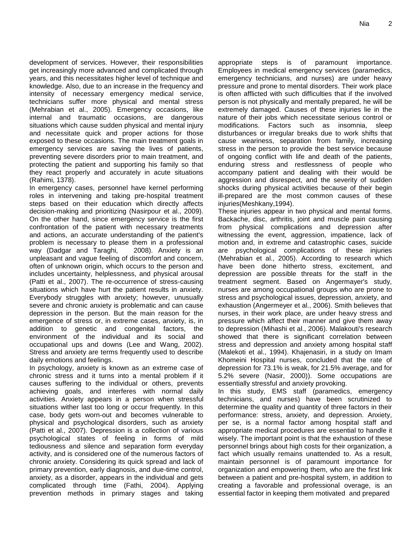development of services. However, their responsibilities get increasingly more advanced and complicated through years, and this necessitates higher level of technique and knowledge. Also, due to an increase in the frequency and intensity of necessary emergency medical service, technicians suffer more physical and mental stress (Mehrabian et al., 2005). Emergency occasions, like internal and traumatic occasions, are dangerous situations which cause sudden physical and mental injury and necessitate quick and proper actions for those exposed to these occasions. The main treatment goals in emergency services are saving the lives of patients, preventing severe disorders prior to main treatment, and protecting the patient and supporting his family so that they react properly and accurately in acute situations (Rahimi, 1378).

In emergency cases, personnel have kernel performing roles in intervening and taking pre-hospital treatment steps based on their education which directly affects decision-making and prioritizing (Nasirpour et al., 2009). On the other hand, since emergency service is the first confrontation of the patient with necessary treatments and actions, an accurate understanding of the patient's problem is necessary to please them in a professional way (Dadgar and Taraghi, 2008). Anxiety is an unpleasant and vague feeling of discomfort and concern, often of unknown origin, which occurs to the person and includes uncertainty, helplessness, and physical arousal (Patti et al., 2007). The re-occurrence of stress-causing situations which have hurt the patient results in anxiety. Everybody struggles with anxiety; however, unusually severe and chronic anxiety is problematic and can cause depression in the person. But the main reason for the emergence of stress or, in extreme cases, anxiety, is, in addition to genetic and congenital factors, the environment of the individual and its social and occupational ups and downs (Lee and Wang, 2002). Stress and anxiety are terms frequently used to describe daily emotions and feelings.

In psychology, anxiety is known as an extreme case of chronic stress and it turns into a mental problem if it causes suffering to the individual or others, prevents achieving goals, and interferes with normal daily activities. Anxiety appears in a person when stressful situations wither last too long or occur frequently. In this case, body gets worn-out and becomes vulnerable to physical and psychological disorders, such as anxiety (Patti et al., 2007). Depression is a collection of various psychological states of feeling in forms of mild tediousness and silence and separation form everyday activity, and is considered one of the numerous factors of chronic anxiety. Considering its quick spread and lack of primary prevention, early diagnosis, and due-time control, anxiety, as a disorder, appears in the individual and gets complicated through time (Fathi, 2004). Applying prevention methods in primary stages and taking

appropriate steps is of paramount importance. Employees in medical emergency services (paramedics, emergency technicians, and nurses) are under heavy pressure and prone to mental disorders. Their work place is often afflicted with such difficulties that if the involved person is not physically and mentally prepared, he will be extremely damaged. Causes of these injuries lie in the nature of their jobs which necessitate serious control or modifications. Factors such as insomnia, sleep disturbances or irregular breaks due to work shifts that cause weariness, separation from family, increasing stress in the person to provide the best service because of ongoing conflict with life and death of the patients, enduring stress and restlessness of people who accompany patient and dealing with their would be aggression and disrespect, and the severity of sudden shocks during physical activities because of their begin ill-prepared are the most common causes of these injuries(Meshkany,1994).

These injuries appear in two physical and mental forms. Backache, disc, arthritis, joint and muscle pain causing from physical complications and depression after witnessing the event, aggression, impatience, lack of motion and, in extreme and catastrophic cases, suicide are psychological complications of these injuries (Mehrabian et al., 2005). According to research which have been done hitherto stress, excitement, and depression are possible threats for the staff in the treatment segment. Based on Angermayer's study, nurses are among occupational groups who are prone to stress and psychological issues, depression, anxiety, and exhaustion (Angermeyer et al., 2006). Smith believes that nurses, in their work place, are under heavy stress and pressure which affect their manner and give them away to depression (Mihashi et al., 2006). Malakouti's research showed that there is significant correlation between stress and depression and anxiety among hospital staff (Malekoti et al., 1994). Khajenasiri, in a study on Imam Khomeini Hospital nurses, concluded that the rate of depression for 73.1% is weak, for 21.5% average, and for 5.2% severe (Nasir, 2000)). Some occupations are essentially stressful and anxiety provoking.

In this study, EMS staff (paramedics, emergency technicians, and nurses) have been scrutinized to determine the quality and quantity of three factors in their performance: stress, anxiety, and depression. Anxiety, per se, is a normal factor among hospital staff and appropriate medical procedures are essential to handle it wisely. The important point is that the exhaustion of these personnel brings about high costs for their organization, a fact which usually remains unattended to. As a result, maintain personnel is of paramount importance for organization and empowering them, who are the first link between a patient and pre-hospital system, in addition to creating a favorable and professional overage, is an essential factor in keeping them motivated and prepared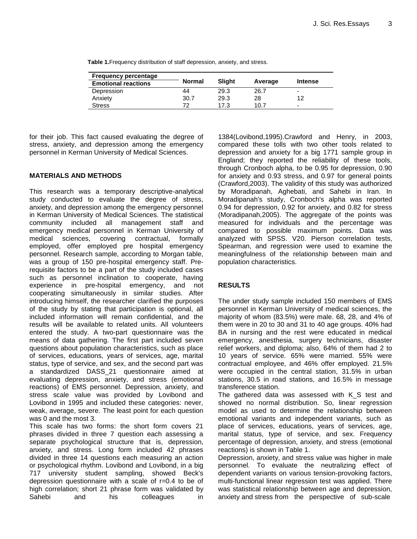**Table 1.**Frequency distribution of staff depression, anxiety, and stress.

| <b>Frequency percentage</b> |        |        |         |                          |
|-----------------------------|--------|--------|---------|--------------------------|
| <b>Emotional reactions</b>  | Normal | Slight | Average | <b>Intense</b>           |
| Depression                  | 44     | 29.3   | 26.7    | -                        |
| Anxiety                     | 30.7   | 29.3   | 28      | 12                       |
| <b>Stress</b>               | 72     | 17.3   | 10.7    | $\overline{\phantom{0}}$ |

for their job. This fact caused evaluating the degree of stress, anxiety, and depression among the emergency personnel in Kerman University of Medical Sciences.

#### **MATERIALS AND METHODS**

This research was a temporary descriptive-analytical study conducted to evaluate the degree of stress, anxiety, and depression among the emergency personnel in Kerman University of Medical Sciences. The statistical community included all management staff and emergency medical personnel in Kerman University of medical sciences, covering contractual, formally employed, offer employed pre hospital emergency personnel. Research sample, according to Morgan table, was a group of 150 pre-hospital emergency staff. Prerequisite factors to be a part of the study included cases such as personnel inclination to cooperate, having experience in pre-hospital emergency, and not cooperating simultaneously in similar studies. After introducing himself, the researcher clarified the purposes of the study by stating that participation is optional, all included information will remain confidential, and the results will be available to related units. All volunteers entered the study. A two-part questionnaire was the means of data gathering. The first part included seven questions about population characteristics, such as place of services, educations, years of services, age, marital status, type of service, and sex, and the second part was a standardized DASS\_21 questionnaire aimed at evaluating depression, anxiety, and stress (emotional reactions) of EMS personnel. Depression, anxiety, and stress scale value was provided by Lovibond and Lovibond in 1995 and included these categories: never, weak, average, severe. The least point for each question was 0 and the most 3.

This scale has two forms: the short form covers 21 phrases divided in three 7 question each assessing a separate psychological structure that is, depression, anxiety, and stress. Long form included 42 phrases divided in three 14 questions each measuring an action or psychological rhythm. Lovibond and Lovibond, in a big 717 university student sampling, showed Beck's depression questionnaire with a scale of r=0.4 to be of high correlation; short 21 phrase form was validated by Sahebi and his colleagues in

1384(Lovibond,1995).Crawford and Henry, in 2003, compared these tolls with two other tools related to depression and anxiety for a big 1771 sample group in England; they reported the reliability of these tools, through Cronboch alpha, to be 0.95 for depression, 0.90 for anxiety and 0.93 stress, and 0.97 for general points (Crawford,2003). The validity of this study was authorized by Moradipanah, Aghebati, and Sahebi in Iran. In Moradipanah's study, Cronboch's alpha was reported 0.94 for depression, 0.92 for anxiety, and 0.82 for stress (Moradipanah,2005). The aggregate of the points was measured for individuals and the percentage was compared to possible maximum points. Data was analyzed with SPSS. V20. Pierson correlation tests, Spearman, and regression were used to examine the meaningfulness of the relationship between main and population characteristics.

#### **RESULTS**

The under study sample included 150 members of EMS personnel in Kerman University of medical sciences, the majority of whom (83.5%) were male. 68, 28, and 4% of them were in 20 to 30 and 31 to 40 age groups. 40% had BA in nursing and the rest were educated in medical emergency, anesthesia, surgery technicians, disaster relief workers, and diploma; also, 64% of them had 2 to 10 years of service. 65% were married. 55% were contractual employee, and 46% offer employed. 21.5% were occupied in the central station, 31.5% in urban stations, 30.5 in road stations, and 16.5% in message transference station.

The gathered data was assessed with K S test and showed no normal distribution. So, linear regression model as used to determine the relationship between emotional variants and independent variants, such as place of services, educations, years of services, age, marital status, type of service, and sex. Frequency percentage of depression, anxiety, and stress (emotional reactions) is shown in Table 1.

Depression, anxiety, and stress value was higher in male personnel. To evaluate the neutralizing effect of dependent variants on various tension-provoking factors, multi-functional linear regression test was applied. There was statistical relationship between age and depression, anxiety and stress from the perspective of sub-scale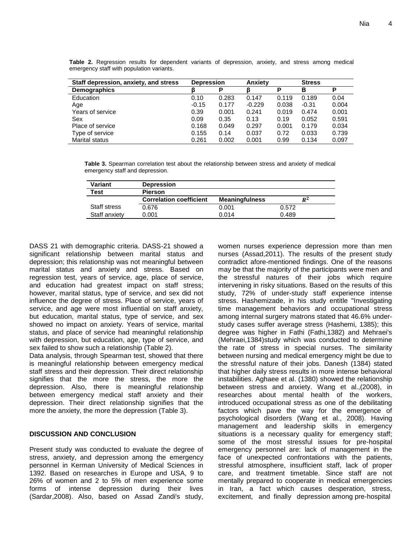| Staff depression, anxiety, and stress | <b>Depression</b> |       | Anxiety  |       | <b>Stress</b> |       |
|---------------------------------------|-------------------|-------|----------|-------|---------------|-------|
| <b>Demographics</b>                   |                   | Р     |          | P     | в             | P     |
| Education                             | 0.10              | 0.283 | 0.147    | 0.119 | 0.189         | 0.04  |
| Age                                   | $-0.15$           | 0.177 | $-0.229$ | 0.038 | $-0.31$       | 0.004 |
| Years of service                      | 0.39              | 0.001 | 0.241    | 0.019 | 0.474         | 0.001 |
| Sex                                   | 0.09              | 0.35  | 0.13     | 0.19  | 0.052         | 0.591 |
| Place of service                      | 0.168             | 0.049 | 0.297    | 0.001 | 0.179         | 0.034 |
| Type of service                       | 0.155             | 0.14  | 0.037    | 0.72  | 0.033         | 0.739 |
| <b>Marital status</b>                 | 0.261             | 0.002 | 0.001    | 0.99  | 0.134         | 0.097 |

**Table 2.** Regression results for dependent variants of depression, anxiety, and stress among medical emergency staff with population variants.

**Table 3.** Spearman correlation test about the relationship between stress and anxiety of medical emergency staff and depression.

| Variant       | <b>Depression</b>              |                       |       |
|---------------|--------------------------------|-----------------------|-------|
| Test          | <b>Pierson</b>                 |                       |       |
|               | <b>Correlation coefficient</b> | <b>Meaningfulness</b> | $R^2$ |
| Staff stress  | 0.676                          | 0.001                 | 0.572 |
| Staff anxiety | 0.001                          | 0.014                 | 0.489 |

DASS 21 with demographic criteria. DASS-21 showed a significant relationship between marital status and depression; this relationship was not meaningful between marital status and anxiety and stress. Based on regression test, years of service, age, place of service, and education had greatest impact on staff stress; however, marital status, type of service, and sex did not influence the degree of stress. Place of service, years of service, and age were most influential on staff anxiety, but education, marital status, type of service, and sex showed no impact on anxiety. Years of service, marital status, and place of service had meaningful relationship with depression, but education, age, type of service, and sex failed to show such a relationship (Table 2).

Data analysis, through Spearman test, showed that there is meaningful relationship between emergency medical staff stress and their depression. Their direct relationship signifies that the more the stress, the more the depression. Also, there is meaningful relationship between emergency medical staff anxiety and their depression. Their direct relationship signifies that the more the anxiety, the more the depression (Table 3).

### **DISCUSSION AND CONCLUSION**

Present study was conducted to evaluate the degree of stress, anxiety, and depression among the emergency personnel in Kerman University of Medical Sciences in 1392. Based on researches in Europe and USA, 9 to 26% of women and 2 to 5% of men experience some forms of intense depression during their lives (Sardar,2008). Also, based on Assad Zandi's study, women nurses experience depression more than men nurses (Assad,2011). The results of the present study contradict afore-mentioned findings. One of the reasons may be that the majority of the participants were men and the stressful natures of their jobs which require intervening in risky situations. Based on the results of this study, 72% of under-study staff experience intense stress. Hashemizade, in his study entitle "Investigating time management behaviors and occupational stress among internal surgery matrons stated that 46.6% understudy cases suffer average stress (Hashemi, 1385); this degree was higher in Fathi (Fathi,1382) and Mehraei's (Mehraei,1384)study which was conducted to determine the rate of stress in special nurses. The similarity between nursing and medical emergency might be due to the stressful nature of their jobs. Danesh (1384) stated that higher daily stress results in more intense behavioral instabilities. Aghaee et al. (1380) showed the relationship between stress and anxiety. Wang et al.,(2008), in researches about mental health of the workers, introduced occupational stress as one of the debilitating factors which pave the way for the emergence of psychological disorders (Wang et al., 2008). Having management and leadership skills in emergency situations is a necessary quality for emergency staff; some of the most stressful issues for pre-hospital emergency personnel are: lack of management in the face of unexpected confrontations with the patients, stressful atmosphere, insufficient staff, lack of proper care, and treatment timetable. Since staff are not mentally prepared to cooperate in medical emergencies in Iran, a fact which causes desperation, stress, excitement, and finally depression among pre-hospital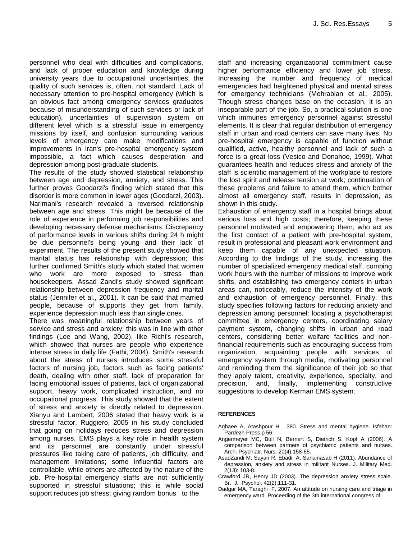personnel who deal with difficulties and complications, and lack of proper education and knowledge during university years due to occupational uncertainties, the quality of such services is, often, not standard. Lack of necessary attention to pre-hospital emergency (which is an obvious fact among emergency services graduates because of misunderstanding of such services or lack of education), uncertainties of supervision system on different level which is a stressful issue in emergency missions by itself, and confusion surrounding various levels of emergency care make modifications and improvements in Iran's pre-hospital emergency system impossible, a fact which causes desperation and depression among post-graduate students.

The results of the study showed statistical relationship between age and depression, anxiety, and stress. This further proves Goodarzi's finding which stated that this disorder is more common in lower ages (Goodarzi, 2003). Narimani's research revealed a reversed relationship between age and stress. This might be because of the role of experience in performing job responsibilities and developing necessary defense mechanisms. Discrepancy of performance levels in various shifts during 24 h might be due personnel's being young and their lack of experiment. The results of the present study showed that marital status has relationship with depression; this further confirmed Smith's study which stated that women who work are more exposed to stress than housekeepers. Assad Zandi's study showed significant relationship between depression frequency and marital status (Jennifer et al., 2001). It can be said that married people, because of supports they get from family, experience depression much less than single ones.

There was meaningful relationship between years of service and stress and anxiety; this was in line with other findings (Lee and Wang, 2002), like Richi's research, which showed that nurses are people who experience intense stress in daily life (Fathi, 2004). Smith's research about the stress of nurses introduces some stressful factors of nursing job, factors such as facing patients' death, dealing with other staff, lack of preparation for facing emotional issues of patients, lack of organizational support, heavy work, complicated instruction, and no occupational progress. This study showed that the extent of stress and anxiety is directly related to depression. Xianyu and Lambert, 2006 stated that heavy work is a stressful factor. Ruggiero, 2005 in his study concluded that going on holidays reduces stress and depression among nurses. EMS plays a key role in health system and its personnel are constantly under stressful pressures like taking care of patients, job difficulty, and management limitations; some influential factors are controllable, while others are affected by the nature of the job. Pre-hospital emergency staffs are not sufficiently supported in stressful situations; this is while social support reduces job stress; giving random bonus to the

staff and increasing organizational commitment cause higher performance efficiency and lower job stress. Increasing the number and frequency of medical emergencies had heightened physical and mental stress for emergency technicians (Mehrabian et al., 2005). Though stress changes base on the occasion, it is an inseparable part of the job. So, a practical solution is one which immunes emergency personnel against stressful elements. It is clear that regular distribution of emergency staff in urban and road centers can save many lives. No pre-hospital emergency is capable of function without qualified, active, healthy personnel and lack of such a force is a great loss (Vesico and Donahoe, 1999). What guarantees health and reduces stress and anxiety of the staff is scientific management of the workplace to restore the lost spirit and release tension at work; continuation of these problems and failure to attend them, which bother almost all emergency staff, results in depression, as shown in this study.

Exhaustion of emergency staff in a hospital brings about serious loss and high costs; therefore, keeping these personnel motivated and empowering them, who act as the first contact of a patient with pre-hospital system, result in professional and pleasant work environment and keep them capable of any unexpected situation. According to the findings of the study, increasing the number of specialized emergency medical staff, combing work hours with the number of missions to improve work shifts, and establishing two emergency centers in urban areas can, noticeably, reduce the intensity of the work and exhaustion of emergency personnel. Finally, this study specifies following factors for reducing anxiety and depression among personnel: locating a psychotherapist committee in emergency centers, coordinating salary payment system, changing shifts in urban and road centers, considering better welfare facilities and nonfinancial requirements such as encouraging success from organization, acquainting people with services of emergency system through media, motivating personnel and reminding them the significance of their job so that they apply talent, creativity, experience, specialty, and precision, and, finally, implementing constructive suggestions to develop Kerman EMS system.

#### **REFERENCES**

- Aghaee A, Atashpour H , 380. Stress and mental hygiene. Isfahan: Pardezh Press.p.56.
- Angermeyer MC, Bull N, Bernert S, Dietrich S, Kopf A (2006). A comparison between partners of psychiatric patients and nurses. Arch. Psychiatr. Nurs. 20(4):158-65.
- AsadZandi M, Sayari R, Ebadi A, Sanainasab H (2011). Abundance of depression, anxiety and stress in militant Nurses. J. Military Med. 2(13): 103-8.
- Crawford JR, Henry JD (2003). The depression anxiety stress scale. Br. J. Psychol. 42(2):111-31.
- Dadgar MA, Taraghi F, 2007. An attitude on nursing care and triage in emergency ward. Proceeding of the 3th international congress of